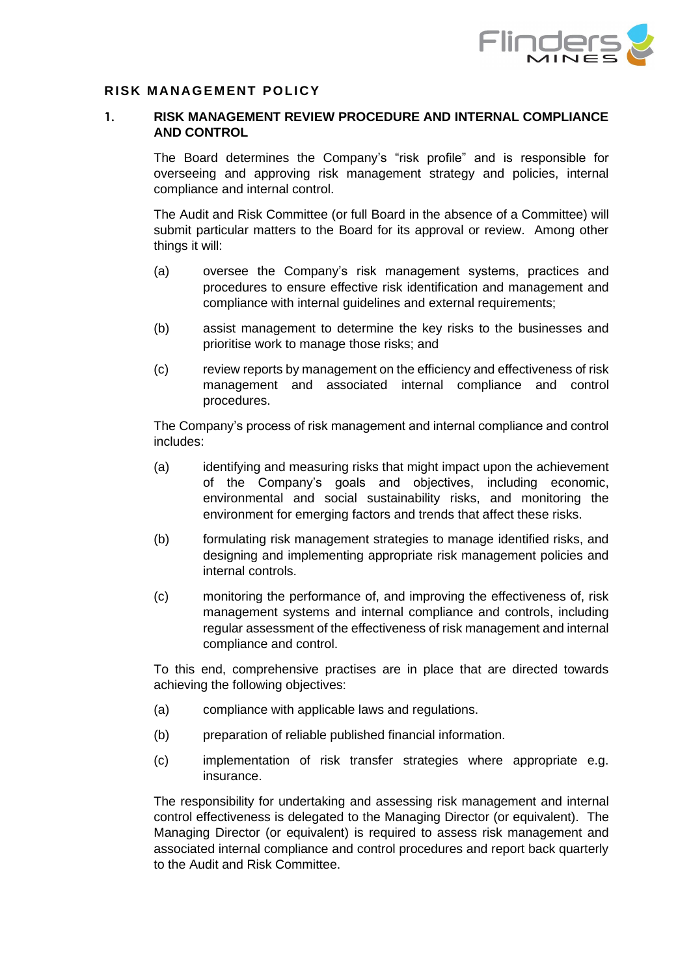

## **RISK MANAGEMENT POLICY**

## **1. RISK MANAGEMENT REVIEW PROCEDURE AND INTERNAL COMPLIANCE AND CONTROL**

The Board determines the Company's "risk profile" and is responsible for overseeing and approving risk management strategy and policies, internal compliance and internal control.

The Audit and Risk Committee (or full Board in the absence of a Committee) will submit particular matters to the Board for its approval or review. Among other things it will:

- (a) oversee the Company's risk management systems, practices and procedures to ensure effective risk identification and management and compliance with internal guidelines and external requirements;
- (b) assist management to determine the key risks to the businesses and prioritise work to manage those risks; and
- (c) review reports by management on the efficiency and effectiveness of risk management and associated internal compliance and control procedures.

The Company's process of risk management and internal compliance and control includes:

- (a) identifying and measuring risks that might impact upon the achievement of the Company's goals and objectives, including economic, environmental and social sustainability risks, and monitoring the environment for emerging factors and trends that affect these risks.
- (b) formulating risk management strategies to manage identified risks, and designing and implementing appropriate risk management policies and internal controls.
- (c) monitoring the performance of, and improving the effectiveness of, risk management systems and internal compliance and controls, including regular assessment of the effectiveness of risk management and internal compliance and control.

To this end, comprehensive practises are in place that are directed towards achieving the following objectives:

- (a) compliance with applicable laws and regulations.
- (b) preparation of reliable published financial information.
- (c) implementation of risk transfer strategies where appropriate e.g. insurance.

The responsibility for undertaking and assessing risk management and internal control effectiveness is delegated to the Managing Director (or equivalent). The Managing Director (or equivalent) is required to assess risk management and associated internal compliance and control procedures and report back quarterly to the Audit and Risk Committee.